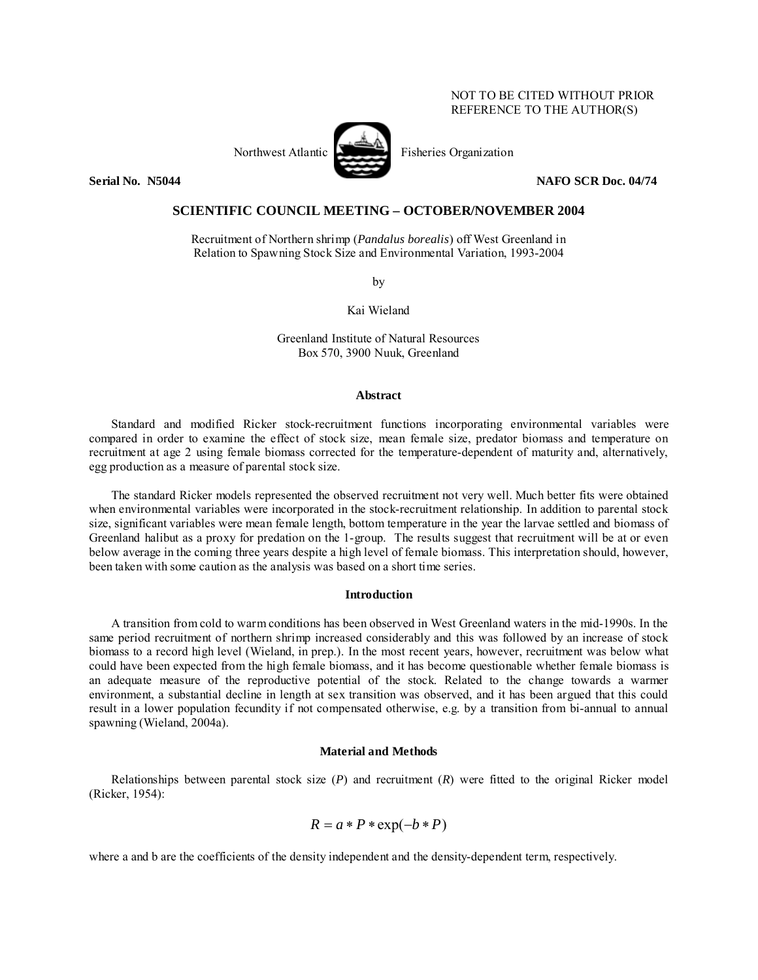## NOT TO BE CITED WITHOUT PRIOR REFERENCE TO THE AUTHOR(S)





**Serial No. N5044** NAFO SCR Doc. 04/74

# **SCIENTIFIC COUNCIL MEETING – OCTOBER/NOVEMBER 2004**

Recruitment of Northern shrimp (*Pandalus borealis*) off West Greenland in Relation to Spawning Stock Size and Environmental Variation, 1993-2004

by

Kai Wieland

Greenland Institute of Natural Resources Box 570, 3900 Nuuk, Greenland

### **Abstract**

Standard and modified Ricker stock-recruitment functions incorporating environmental variables were compared in order to examine the effect of stock size, mean female size, predator biomass and temperature on recruitment at age 2 using female biomass corrected for the temperature-dependent of maturity and, alternatively, egg production as a measure of parental stock size.

The standard Ricker models represented the observed recruitment not very well. Much better fits were obtained when environmental variables were incorporated in the stock-recruitment relationship. In addition to parental stock size, significant variables were mean female length, bottom temperature in the year the larvae settled and biomass of Greenland halibut as a proxy for predation on the 1-group. The results suggest that recruitment will be at or even below average in the coming three years despite a high level of female biomass. This interpretation should, however, been taken with some caution as the analysis was based on a short time series.

### **Introduction**

A transition from cold to warm conditions has been observed in West Greenland waters in the mid-1990s. In the same period recruitment of northern shrimp increased considerably and this was followed by an increase of stock biomass to a record high level (Wieland, in prep.). In the most recent years, however, recruitment was below what could have been expected from the high female biomass, and it has become questionable whether female biomass is an adequate measure of the reproductive potential of the stock. Related to the change towards a warmer environment, a substantial decline in length at sex transition was observed, and it has been argued that this could result in a lower population fecundity if not compensated otherwise, e.g. by a transition from bi-annual to annual spawning (Wieland, 2004a).

### **Material and Methods**

Relationships between parental stock size (*P*) and recruitment (*R*) were fitted to the original Ricker model (Ricker, 1954):

$$
R = a * P * \exp(-b * P)
$$

where a and b are the coefficients of the density independent and the density-dependent term, respectively.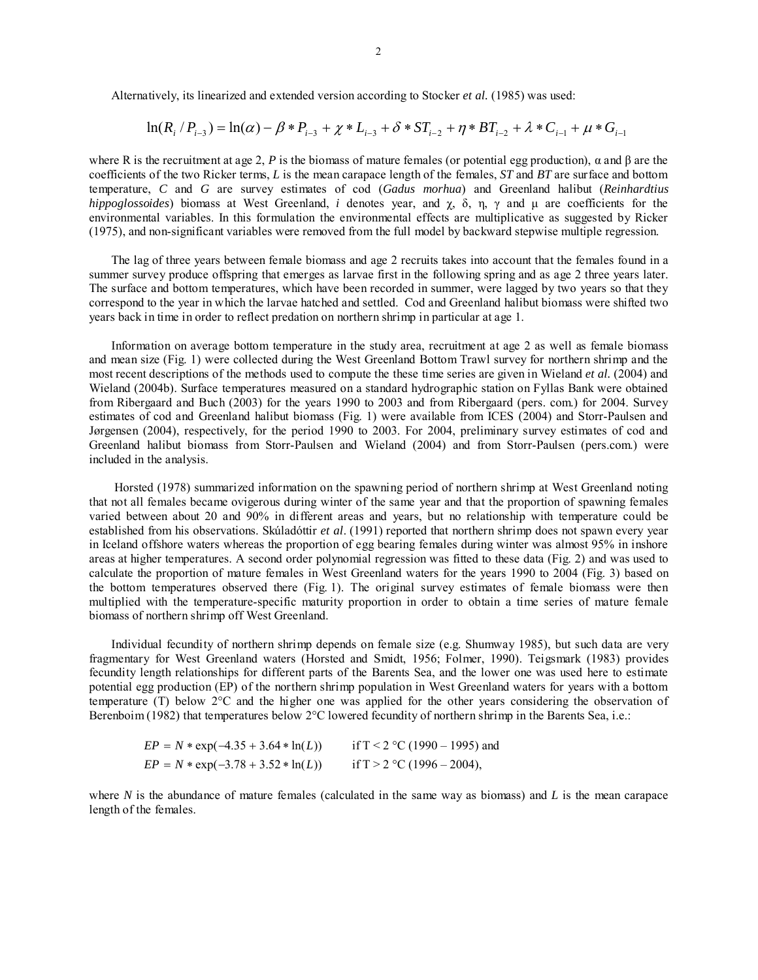Alternatively, its linearized and extended version according to Stocker *et al.* (1985) was used:

$$
\ln(R_i/P_{i-3}) = \ln(\alpha) - \beta \cdot P_{i-3} + \chi \cdot L_{i-3} + \delta \cdot ST_{i-2} + \eta \cdot BT_{i-2} + \lambda \cdot C_{i-1} + \mu \cdot G_{i-1}
$$

where R is the recruitment at age 2, *P* is the biomass of mature females (or potential egg production),  $\alpha$  and  $\beta$  are the coefficients of the two Ricker terms, *L* is the mean carapace length of the females, *ST* and *BT* are surface and bottom temperature, *C* and *G* are survey estimates of cod (*Gadus morhua*) and Greenland halibut (*Reinhardtius hippoglossoides*) biomass at West Greenland, *i* denotes year, and χ, δ, η, γ and µ are coefficients for the environmental variables. In this formulation the environmental effects are multiplicative as suggested by Ricker (1975), and non-significant variables were removed from the full model by backward stepwise multiple regression.

 The lag of three years between female biomass and age 2 recruits takes into account that the females found in a summer survey produce offspring that emerges as larvae first in the following spring and as age 2 three years later. The surface and bottom temperatures, which have been recorded in summer, were lagged by two years so that they correspond to the year in which the larvae hatched and settled. Cod and Greenland halibut biomass were shifted two years back in time in order to reflect predation on northern shrimp in particular at age 1.

Information on average bottom temperature in the study area, recruitment at age 2 as well as female biomass and mean size (Fig. 1) were collected during the West Greenland Bottom Trawl survey for northern shrimp and the most recent descriptions of the methods used to compute the these time series are given in Wieland *et al.* (2004) and Wieland (2004b). Surface temperatures measured on a standard hydrographic station on Fyllas Bank were obtained from Ribergaard and Buch (2003) for the years 1990 to 2003 and from Ribergaard (pers. com.) for 2004. Survey estimates of cod and Greenland halibut biomass (Fig. 1) were available from ICES (2004) and Storr-Paulsen and Jørgensen (2004), respectively, for the period 1990 to 2003. For 2004, preliminary survey estimates of cod and Greenland halibut biomass from Storr-Paulsen and Wieland (2004) and from Storr-Paulsen (pers.com.) were included in the analysis.

 Horsted (1978) summarized information on the spawning period of northern shrimp at West Greenland noting that not all females became ovigerous during winter of the same year and that the proportion of spawning females varied between about 20 and 90% in different areas and years, but no relationship with temperature could be established from his observations. Skúladóttir *et al*. (1991) reported that northern shrimp does not spawn every year in Iceland offshore waters whereas the proportion of egg bearing females during winter was almost 95% in inshore areas at higher temperatures. A second order polynomial regression was fitted to these data (Fig. 2) and was used to calculate the proportion of mature females in West Greenland waters for the years 1990 to 2004 (Fig. 3) based on the bottom temperatures observed there (Fig. 1). The original survey estimates of female biomass were then multiplied with the temperature-specific maturity proportion in order to obtain a time series of mature female biomass of northern shrimp off West Greenland.

Individual fecundity of northern shrimp depends on female size (e.g. Shumway 1985), but such data are very fragmentary for West Greenland waters (Horsted and Smidt, 1956; Folmer, 1990). Teigsmark (1983) provides fecundity length relationships for different parts of the Barents Sea, and the lower one was used here to estimate potential egg production (EP) of the northern shrimp population in West Greenland waters for years with a bottom temperature (T) below 2°C and the higher one was applied for the other years considering the observation of Berenboim (1982) that temperatures below 2°C lowered fecundity of northern shrimp in the Barents Sea, i.e.:

| $EP = N * exp(-4.35 + 3.64 * ln(L))$   | if T < 2 $\degree$ C (1990 – 1995) and |
|----------------------------------------|----------------------------------------|
| $EP = N * \exp(-3.78 + 3.52 * \ln(L))$ | if $T > 2$ °C (1996 – 2004),           |

where  $N$  is the abundance of mature females (calculated in the same way as biomass) and  $L$  is the mean carapace length of the females.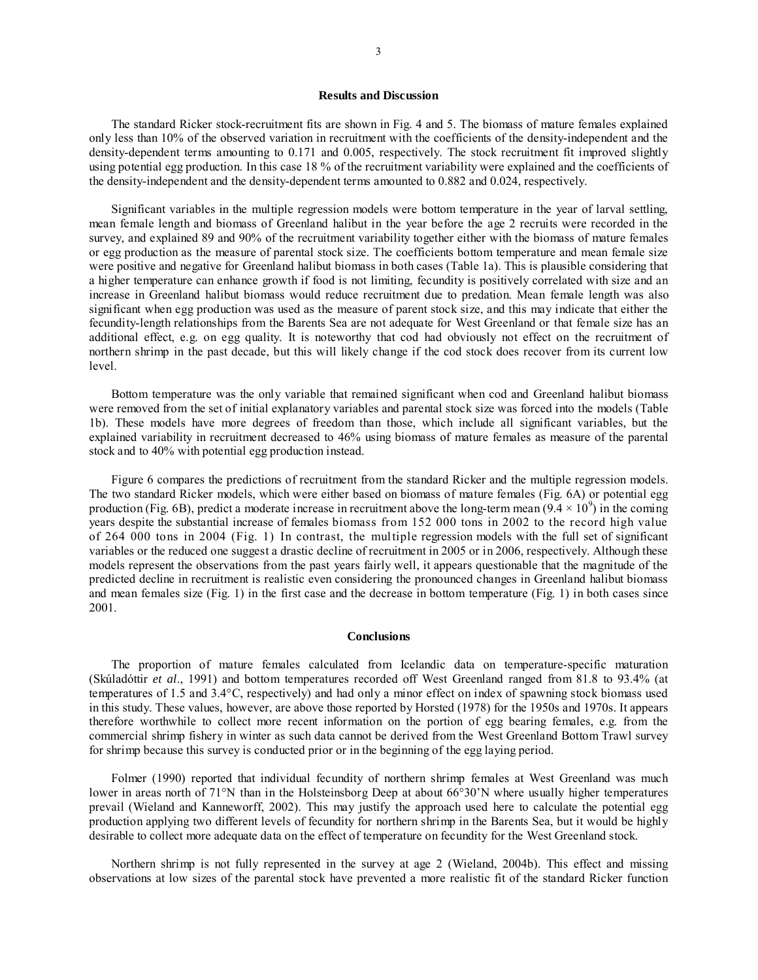### **Results and Discussion**

The standard Ricker stock-recruitment fits are shown in Fig. 4 and 5. The biomass of mature females explained only less than 10% of the observed variation in recruitment with the coefficients of the density-independent and the density-dependent terms amounting to 0.171 and 0.005, respectively. The stock recruitment fit improved slightly using potential egg production. In this case 18 % of the recruitment variability were explained and the coefficients of the density-independent and the density-dependent terms amounted to 0.882 and 0.024, respectively.

Significant variables in the multiple regression models were bottom temperature in the year of larval settling, mean female length and biomass of Greenland halibut in the year before the age 2 recruits were recorded in the survey, and explained 89 and 90% of the recruitment variability together either with the biomass of mature females or egg production as the measure of parental stock size. The coefficients bottom temperature and mean female size were positive and negative for Greenland halibut biomass in both cases (Table 1a). This is plausible considering that a higher temperature can enhance growth if food is not limiting, fecundity is positively correlated with size and an increase in Greenland halibut biomass would reduce recruitment due to predation. Mean female length was also significant when egg production was used as the measure of parent stock size, and this may indicate that either the fecundity-length relationships from the Barents Sea are not adequate for West Greenland or that female size has an additional effect, e.g. on egg quality. It is noteworthy that cod had obviously not effect on the recruitment of northern shrimp in the past decade, but this will likely change if the cod stock does recover from its current low level.

Bottom temperature was the only variable that remained significant when cod and Greenland halibut biomass were removed from the set of initial explanatory variables and parental stock size was forced into the models (Table 1b). These models have more degrees of freedom than those, which include all significant variables, but the explained variability in recruitment decreased to 46% using biomass of mature females as measure of the parental stock and to 40% with potential egg production instead.

Figure 6 compares the predictions of recruitment from the standard Ricker and the multiple regression models. The two standard Ricker models, which were either based on biomass of mature females (Fig. 6A) or potential egg production (Fig. 6B), predict a moderate increase in recruitment above the long-term mean  $(9.4 \times 10^9)$  in the coming years despite the substantial increase of females biomass from 152 000 tons in 2002 to the record high value of 264 000 tons in 2004 (Fig. 1) In contrast, the multiple regression models with the full set of significant variables or the reduced one suggest a drastic decline of recruitment in 2005 or in 2006, respectively. Although these models represent the observations from the past years fairly well, it appears questionable that the magnitude of the predicted decline in recruitment is realistic even considering the pronounced changes in Greenland halibut biomass and mean females size (Fig. 1) in the first case and the decrease in bottom temperature (Fig. 1) in both cases since 2001.

### **Conclusions**

The proportion of mature females calculated from Icelandic data on temperature-specific maturation (Skúladóttir *et al*., 1991) and bottom temperatures recorded off West Greenland ranged from 81.8 to 93.4% (at temperatures of 1.5 and 3.4°C, respectively) and had only a minor effect on index of spawning stock biomass used in this study. These values, however, are above those reported by Horsted (1978) for the 1950s and 1970s. It appears therefore worthwhile to collect more recent information on the portion of egg bearing females, e.g. from the commercial shrimp fishery in winter as such data cannot be derived from the West Greenland Bottom Trawl survey for shrimp because this survey is conducted prior or in the beginning of the egg laying period.

Folmer (1990) reported that individual fecundity of northern shrimp females at West Greenland was much lower in areas north of 71°N than in the Holsteinsborg Deep at about 66°30'N where usually higher temperatures prevail (Wieland and Kanneworff, 2002). This may justify the approach used here to calculate the potential egg production applying two different levels of fecundity for northern shrimp in the Barents Sea, but it would be highly desirable to collect more adequate data on the effect of temperature on fecundity for the West Greenland stock.

Northern shrimp is not fully represented in the survey at age 2 (Wieland, 2004b). This effect and missing observations at low sizes of the parental stock have prevented a more realistic fit of the standard Ricker function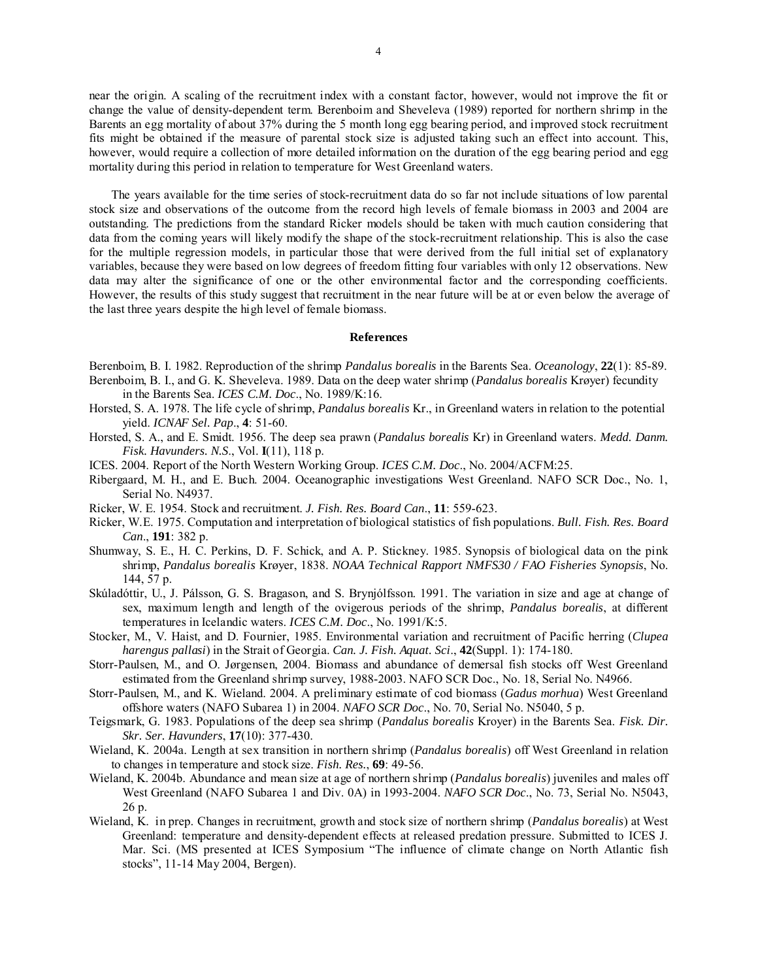near the origin. A scaling of the recruitment index with a constant factor, however, would not improve the fit or change the value of density-dependent term. Berenboim and Sheveleva (1989) reported for northern shrimp in the Barents an egg mortality of about 37% during the 5 month long egg bearing period, and improved stock recruitment fits might be obtained if the measure of parental stock size is adjusted taking such an effect into account. This, however, would require a collection of more detailed information on the duration of the egg bearing period and egg mortality during this period in relation to temperature for West Greenland waters.

The years available for the time series of stock-recruitment data do so far not include situations of low parental stock size and observations of the outcome from the record high levels of female biomass in 2003 and 2004 are outstanding. The predictions from the standard Ricker models should be taken with much caution considering that data from the coming years will likely modify the shape of the stock-recruitment relationship. This is also the case for the multiple regression models, in particular those that were derived from the full initial set of explanatory variables, because they were based on low degrees of freedom fitting four variables with only 12 observations. New data may alter the significance of one or the other environmental factor and the corresponding coefficients. However, the results of this study suggest that recruitment in the near future will be at or even below the average of the last three years despite the high level of female biomass.

### **References**

Berenboim, B. I. 1982. Reproduction of the shrimp *Pandalus borealis* in the Barents Sea. *Oceanology*, **22**(1): 85-89. Berenboim, B. I., and G. K. Sheveleva. 1989. Data on the deep water shrimp (*Pandalus borealis* Krøyer) fecundity

in the Barents Sea. *ICES C.M. Doc*., No. 1989/K:16.

- Horsted, S. A. 1978. The life cycle of shrimp, *Pandalus borealis* Kr., in Greenland waters in relation to the potential yield. *ICNAF Sel. Pap*., **4**: 51-60.
- Horsted, S. A., and E. Smidt. 1956. The deep sea prawn (*Pandalus borealis* Kr) in Greenland waters. *Medd. Danm. Fisk. Havunders. N.S*., Vol. **I**(11), 118 p.
- ICES. 2004. Report of the North Western Working Group. *ICES C.M. Doc*., No. 2004/ACFM:25.
- Ribergaard, M. H., and E. Buch. 2004. Oceanographic investigations West Greenland. NAFO SCR Doc., No. 1, Serial No. N4937.
- Ricker, W. E. 1954. Stock and recruitment. *J. Fish. Res. Board Can*., **11**: 559-623.
- Ricker, W.E. 1975. Computation and interpretation of biological statistics of fish populations. *Bull. Fish. Res. Board Can*., **191**: 382 p.
- Shumway, S. E., H. C. Perkins, D. F. Schick, and A. P. Stickney. 1985. Synopsis of biological data on the pink shrimp, *Pandalus borealis* Krøyer, 1838. *NOAA Technical Rapport NMFS30 / FAO Fisheries Synopsis*, No. 144, 57 p.
- Skúladóttir, U., J. Pálsson, G. S. Bragason, and S. Brynjólfsson. 1991. The variation in size and age at change of sex, maximum length and length of the ovigerous periods of the shrimp, *Pandalus borealis*, at different temperatures in Icelandic waters. *ICES C.M. Doc*., No. 1991/K:5.
- Stocker, M., V. Haist, and D. Fournier, 1985. Environmental variation and recruitment of Pacific herring (*Clupea harengus pallasi*) in the Strait of Georgia. *Can. J. Fish. Aquat. Sci*., **42**(Suppl. 1): 174-180.
- Storr-Paulsen, M., and O. Jørgensen, 2004. Biomass and abundance of demersal fish stocks off West Greenland estimated from the Greenland shrimp survey, 1988-2003. NAFO SCR Doc., No. 18, Serial No. N4966.
- Storr-Paulsen, M., and K. Wieland. 2004. A preliminary estimate of cod biomass (*Gadus morhua*) West Greenland offshore waters (NAFO Subarea 1) in 2004. *NAFO SCR Doc*., No. 70, Serial No. N5040, 5 p.
- Teigsmark, G. 1983. Populations of the deep sea shrimp (*Pandalus borealis* Kroyer) in the Barents Sea. *Fisk. Dir. Skr. Ser. Havunders*, **17**(10): 377-430.
- Wieland, K. 2004a. Length at sex transition in northern shrimp (*Pandalus borealis*) off West Greenland in relation to changes in temperature and stock size. *Fish. Res.*, **69**: 49-56.
- Wieland, K. 2004b. Abundance and mean size at age of northern shrimp (*Pandalus borealis*) juveniles and males off West Greenland (NAFO Subarea 1 and Div. 0A) in 1993-2004. *NAFO SCR Doc*., No. 73, Serial No. N5043, 26 p.
- Wieland, K. in prep. Changes in recruitment, growth and stock size of northern shrimp (*Pandalus borealis*) at West Greenland: temperature and density-dependent effects at released predation pressure. Submitted to ICES J. Mar. Sci. (MS presented at ICES Symposium "The influence of climate change on North Atlantic fish stocks", 11-14 May 2004, Bergen).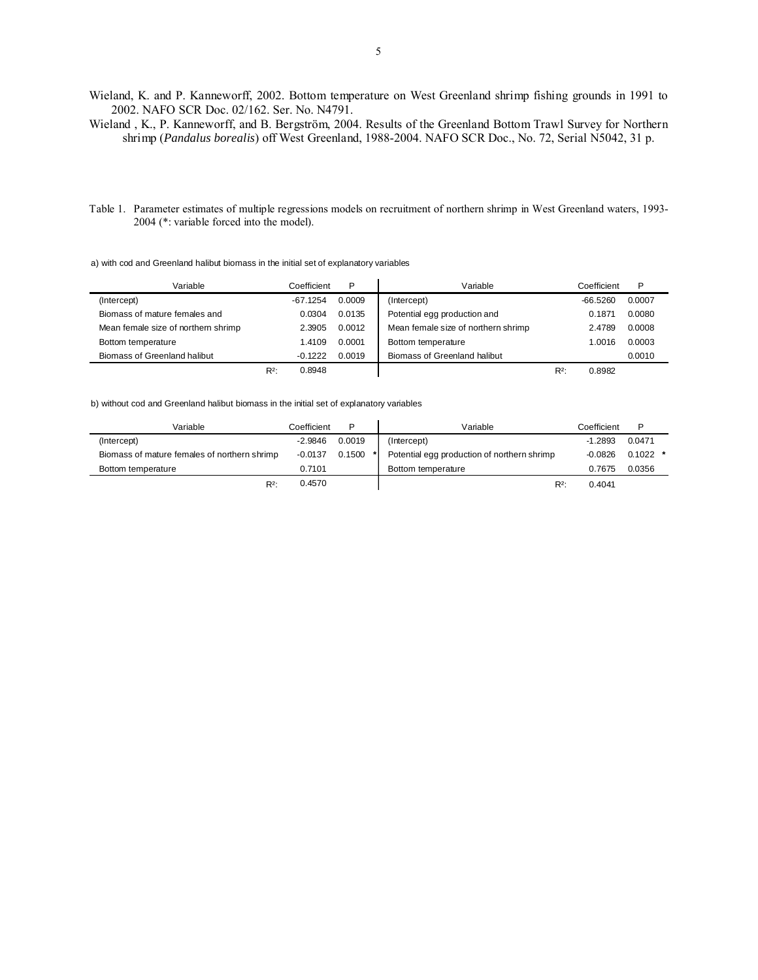Wieland, K. and P. Kanneworff, 2002. Bottom temperature on West Greenland shrimp fishing grounds in 1991 to 2002. NAFO SCR Doc. 02/162. Ser. No. N4791.

Wieland , K., P. Kanneworff, and B. Bergström, 2004. Results of the Greenland Bottom Trawl Survey for Northern shrimp (*Pandalus borealis*) off West Greenland, 1988-2004. NAFO SCR Doc., No. 72, Serial N5042, 31 p.

Table 1. Parameter estimates of multiple regressions models on recruitment of northern shrimp in West Greenland waters, 1993- 2004 (\*: variable forced into the model).

#### a) with cod and Greenland halibut biomass in the initial set of explanatory variables

| Variable                           |         | Coefficient | P      | Variable                            |       | Coefficient | Þ      |
|------------------------------------|---------|-------------|--------|-------------------------------------|-------|-------------|--------|
| (Intercept)                        |         | $-67.1254$  | 0.0009 | (Intercept)                         |       | $-66.5260$  | 0.0007 |
| Biomass of mature females and      |         | 0.0304      | 0.0135 | Potential egg production and        |       | 0.1871      | 0.0080 |
| Mean female size of northem shrimp |         | 2.3905      | 0.0012 | Mean female size of northern shrimp |       | 2.4789      | 0.0008 |
| Bottom temperature                 |         | 1.4109      | 0.0001 | Bottom temperature                  |       | 1.0016      | 0.0003 |
| Biomass of Greenland halibut       |         | $-0.1222$   | 0.0019 | Biomass of Greenland halibut        |       |             | 0.0010 |
|                                    | $R^2$ : | 0.8948      |        |                                     | $R^2$ | 0.8982      |        |

#### b) without cod and Greenland halibut biomass in the initial set of explanatory variables

| Variable                                     | Coefficient | Þ      | Variable                                    | Coefficient |            |  |
|----------------------------------------------|-------------|--------|---------------------------------------------|-------------|------------|--|
| (Intercept)                                  | $-2.9846$   | 0.0019 | (Intercept)                                 | $-1.2893$   | 0.0471     |  |
| Biomass of mature females of northern shrimp | $-0.0137$   | 0.1500 | Potential egg production of northern shrimp | -0.0826     | $0.1022$ * |  |
| Bottom temperature                           | 0.7101      |        | Bottom temperature                          | 0.7675      | 0.0356     |  |
| $R^2$ :                                      | 0.4570      |        | $R^2$                                       | 0.4041      |            |  |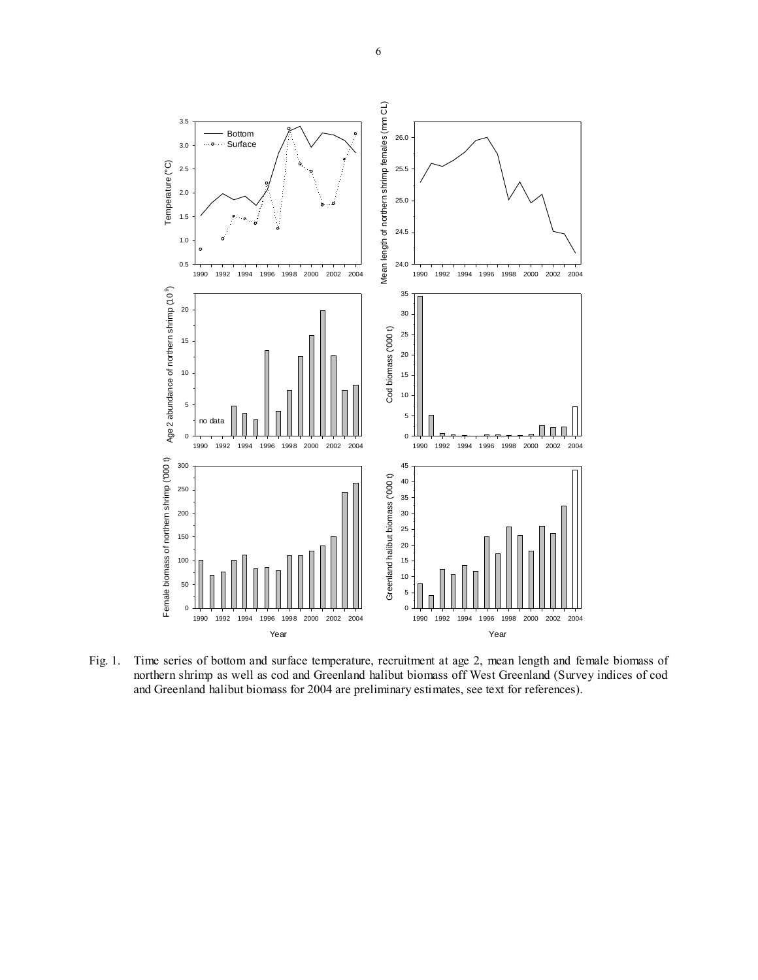

Fig. 1. Time series of bottom and surface temperature, recruitment at age 2, mean length and female biomass of northern shrimp as well as cod and Greenland halibut biomass off West Greenland (Survey indices of cod and Greenland halibut biomass for 2004 are preliminary estimates, see text for references).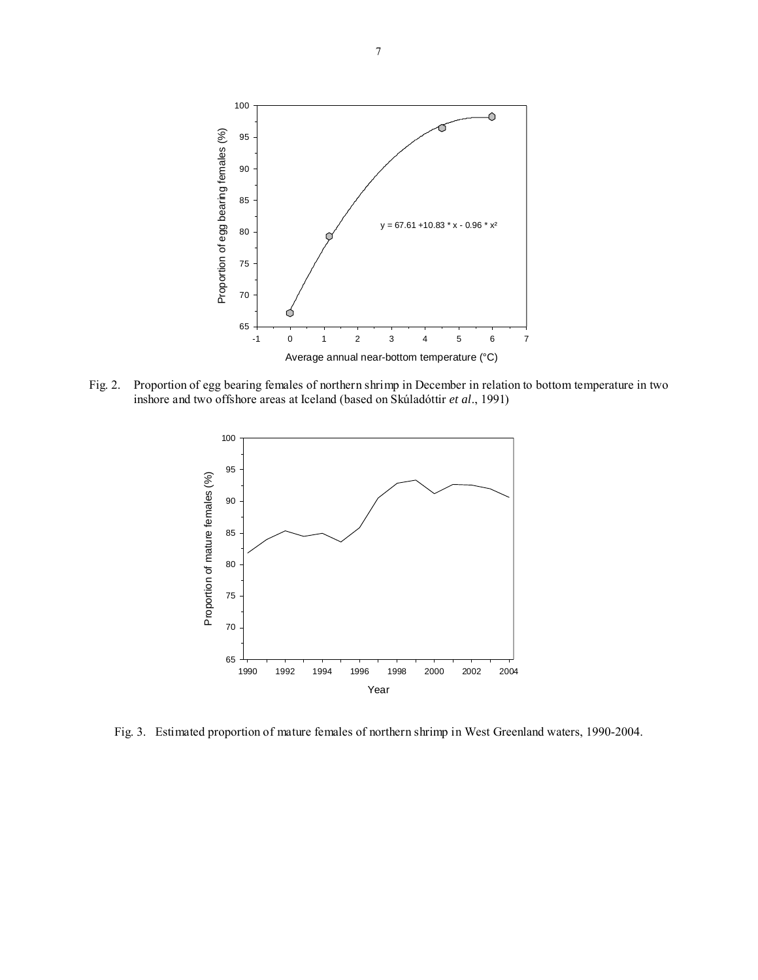

Fig. 2. Proportion of egg bearing females of northern shrimp in December in relation to bottom temperature in two inshore and two offshore areas at Iceland (based on Skúladóttir *et al*., 1991)



Fig. 3. Estimated proportion of mature females of northern shrimp in West Greenland waters, 1990-2004.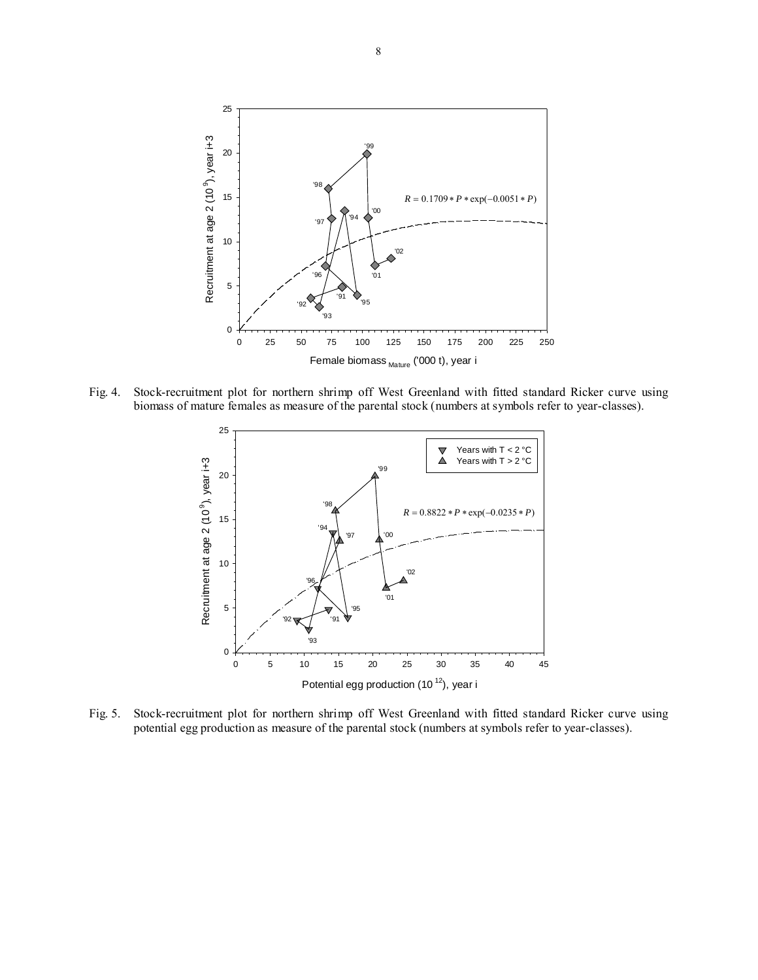

Fig. 4. Stock-recruitment plot for northern shrimp off West Greenland with fitted standard Ricker curve using biomass of mature females as measure of the parental stock (numbers at symbols refer to year-classes).



Fig. 5. Stock-recruitment plot for northern shrimp off West Greenland with fitted standard Ricker curve using potential egg production as measure of the parental stock (numbers at symbols refer to year-classes).